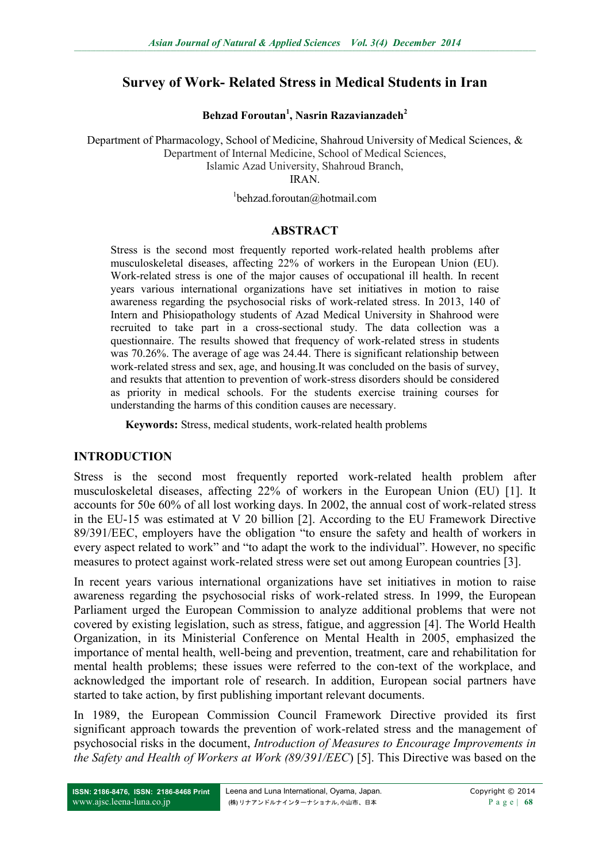# **Survey of Work- Related Stress in Medical Students in Iran**

**Behzad Foroutan<sup>1</sup> , Nasrin Razavianzadeh<sup>2</sup>**

Department of Pharmacology, School of Medicine, Shahroud University of Medical Sciences, & Department of Internal Medicine, School of Medical Sciences, Islamic Azad University, Shahroud Branch, IRAN.

1 behzad.foroutan@hotmail.com

### **ABSTRACT**

Stress is the second most frequently reported work-related health problems after musculoskeletal diseases, affecting 22% of workers in the European Union (EU). Work-related stress is one of the major causes of occupational ill health. In recent years various international organizations have set initiatives in motion to raise awareness regarding the psychosocial risks of work-related stress. In 2013, 140 of Intern and Phisiopathology students of Azad Medical University in Shahrood were recruited to take part in a cross-sectional study. The data collection was a questionnaire. The results showed that frequency of work-related stress in students was 70.26%. The average of age was 24.44. There is significant relationship between work-related stress and sex, age, and housing.It was concluded on the basis of survey, and resukts that attention to prevention of work-stress disorders should be considered as priority in medical schools. For the students exercise training courses for understanding the harms of this condition causes are necessary.

**Keywords:** Stress, medical students, work-related health problems

### **INTRODUCTION**

Stress is the second most frequently reported work-related health problem after musculoskeletal diseases, affecting 22% of workers in the European Union (EU) [1]. It accounts for 50e 60% of all lost working days. In 2002, the annual cost of work-related stress in the EU-15 was estimated at V 20 billion [2]. According to the EU Framework Directive 89/391/EEC, employers have the obligation "to ensure the safety and health of workers in every aspect related to work" and "to adapt the work to the individual". However, no specific measures to protect against work-related stress were set out among European countries [3].

In recent years various international organizations have set initiatives in motion to raise awareness regarding the psychosocial risks of work-related stress. In 1999, the European Parliament urged the European Commission to analyze additional problems that were not covered by existing legislation, such as stress, fatigue, and aggression [4]. The World Health Organization, in its Ministerial Conference on Mental Health in 2005, emphasized the importance of mental health, well-being and prevention, treatment, care and rehabilitation for mental health problems; these issues were referred to the con-text of the workplace, and acknowledged the important role of research. In addition, European social partners have started to take action, by first publishing important relevant documents.

In 1989, the European Commission Council Framework Directive provided its first significant approach towards the prevention of work-related stress and the management of psychosocial risks in the document, *Introduction of Measures to Encourage Improvements in the Safety and Health of Workers at Work (89/391/EEC*) [5]. This Directive was based on the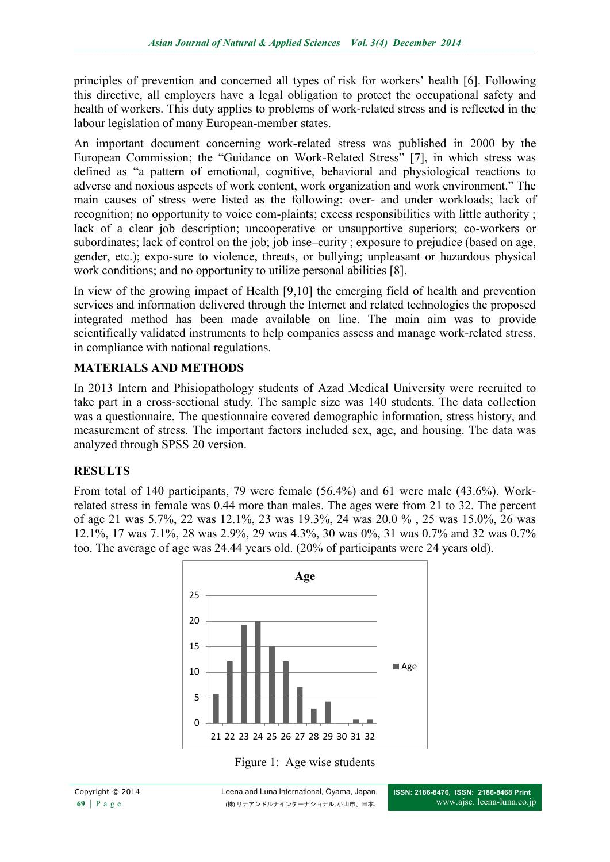principles of prevention and concerned all types of risk for workers' health [6]. Following this directive, all employers have a legal obligation to protect the occupational safety and health of workers. This duty applies to problems of work-related stress and is reflected in the labour legislation of many European-member states.

An important document concerning work-related stress was published in 2000 by the European Commission; the "Guidance on Work-Related Stress" [7], in which stress was defined as "a pattern of emotional, cognitive, behavioral and physiological reactions to adverse and noxious aspects of work content, work organization and work environment." The main causes of stress were listed as the following: over- and under workloads; lack of recognition; no opportunity to voice com-plaints; excess responsibilities with little authority ; lack of a clear job description; uncooperative or unsupportive superiors; co-workers or subordinates; lack of control on the job; job inse–curity ; exposure to prejudice (based on age, gender, etc.); expo-sure to violence, threats, or bullying; unpleasant or hazardous physical work conditions; and no opportunity to utilize personal abilities [8].

In view of the growing impact of Health [9,10] the emerging field of health and prevention services and information delivered through the Internet and related technologies the proposed integrated method has been made available on line. The main aim was to provide scientifically validated instruments to help companies assess and manage work-related stress, in compliance with national regulations.

# **MATERIALS AND METHODS**

In 2013 Intern and Phisiopathology students of Azad Medical University were recruited to take part in a cross-sectional study. The sample size was 140 students. The data collection was a questionnaire. The questionnaire covered demographic information, stress history, and measurement of stress. The important factors included sex, age, and housing. The data was analyzed through SPSS 20 version.

### **RESULTS**

From total of 140 participants, 79 were female (56.4%) and 61 were male (43.6%). Workrelated stress in female was 0.44 more than males. The ages were from 21 to 32. The percent of age 21 was 5.7%, 22 was 12.1%, 23 was 19.3%, 24 was 20.0 % , 25 was 15.0%, 26 was 12.1%, 17 was 7.1%, 28 was 2.9%, 29 was 4.3%, 30 was 0%, 31 was 0.7% and 32 was 0.7% too. The average of age was 24.44 years old. (20% of participants were 24 years old).



Figure 1: Age wise students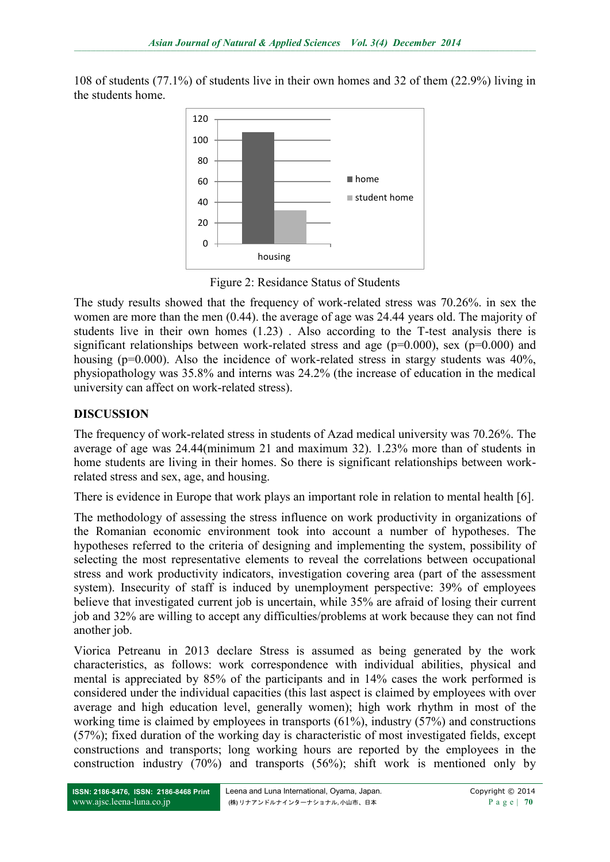108 of students (77.1%) of students live in their own homes and 32 of them (22.9%) living in the students home.



Figure 2: Residance Status of Students

The study results showed that the frequency of work-related stress was 70.26%. in sex the women are more than the men (0.44). the average of age was 24.44 years old. The majority of students live in their own homes (1.23) . Also according to the T-test analysis there is significant relationships between work-related stress and age ( $p=0.000$ ), sex ( $p=0.000$ ) and housing (p=0.000). Also the incidence of work-related stress in stargy students was 40%, physiopathology was 35.8% and interns was 24.2% (the increase of education in the medical university can affect on work-related stress).

# **DISCUSSION**

The frequency of work-related stress in students of Azad medical university was 70.26%. The average of age was 24.44(minimum 21 and maximum 32). 1.23% more than of students in home students are living in their homes. So there is significant relationships between workrelated stress and sex, age, and housing.

There is evidence in Europe that work plays an important role in relation to mental health [6].

The methodology of assessing the stress influence on work productivity in organizations of the Romanian economic environment took into account a number of hypotheses. The hypotheses referred to the criteria of designing and implementing the system, possibility of selecting the most representative elements to reveal the correlations between occupational stress and work productivity indicators, investigation covering area (part of the assessment system). Insecurity of staff is induced by unemployment perspective: 39% of employees believe that investigated current job is uncertain, while 35% are afraid of losing their current job and 32% are willing to accept any difficulties/problems at work because they can not find another job.

Viorica Petreanu in 2013 declare Stress is assumed as being generated by the work characteristics, as follows: work correspondence with individual abilities, physical and mental is appreciated by 85% of the participants and in 14% cases the work performed is considered under the individual capacities (this last aspect is claimed by employees with over average and high education level, generally women); high work rhythm in most of the working time is claimed by employees in transports (61%), industry (57%) and constructions (57%); fixed duration of the working day is characteristic of most investigated fields, except constructions and transports; long working hours are reported by the employees in the construction industry (70%) and transports (56%); shift work is mentioned only by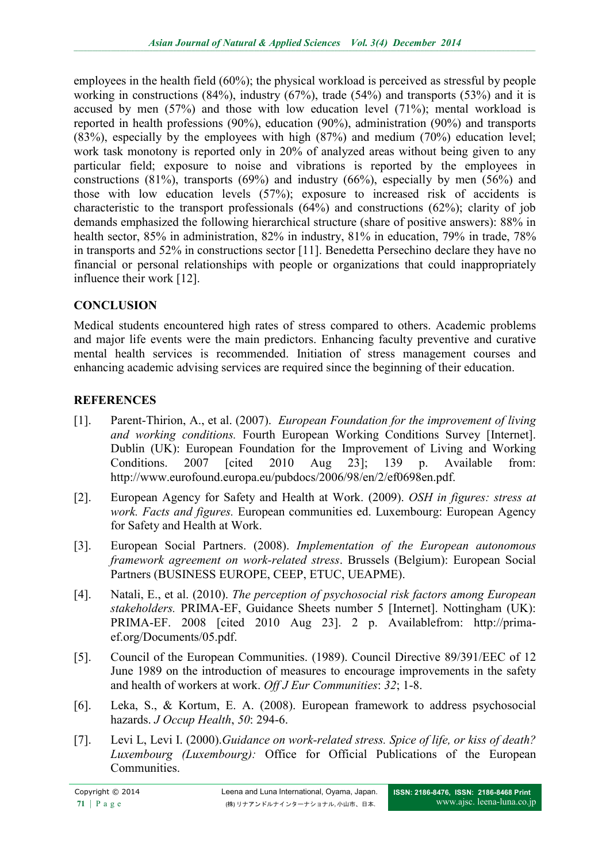employees in the health field (60%); the physical workload is perceived as stressful by people working in constructions (84%), industry (67%), trade (54%) and transports (53%) and it is accused by men (57%) and those with low education level (71%); mental workload is reported in health professions (90%), education (90%), administration (90%) and transports (83%), especially by the employees with high (87%) and medium (70%) education level; work task monotony is reported only in 20% of analyzed areas without being given to any particular field; exposure to noise and vibrations is reported by the employees in constructions (81%), transports (69%) and industry (66%), especially by men (56%) and those with low education levels (57%); exposure to increased risk of accidents is characteristic to the transport professionals (64%) and constructions (62%); clarity of job demands emphasized the following hierarchical structure (share of positive answers): 88% in health sector, 85% in administration, 82% in industry, 81% in education, 79% in trade, 78% in transports and 52% in constructions sector [11]. Benedetta Persechino declare they have no financial or personal relationships with people or organizations that could inappropriately influence their work [12].

# **CONCLUSION**

Medical students encountered high rates of stress compared to others. Academic problems and major life events were the main predictors. Enhancing faculty preventive and curative mental health services is recommended. Initiation of stress management courses and enhancing academic advising services are required since the beginning of their education.

# **REFERENCES**

- [1]. Parent-Thirion, A., et al. (2007). *European Foundation for the improvement of living and working conditions.* Fourth European Working Conditions Survey [Internet]. Dublin (UK): European Foundation for the Improvement of Living and Working Conditions. 2007 [cited 2010 Aug 23]; 139 p. Available from: http://www.eurofound.europa.eu/pubdocs/2006/98/en/2/ef0698en.pdf.
- [2]. European Agency for Safety and Health at Work. (2009). *OSH in figures: stress at work. Facts and figures.* European communities ed. Luxembourg: European Agency for Safety and Health at Work.
- [3]. European Social Partners. (2008). *Implementation of the European autonomous framework agreement on work-related stress*. Brussels (Belgium): European Social Partners (BUSINESS EUROPE, CEEP, ETUC, UEAPME).
- [4]. Natali, E., et al. (2010). *The perception of psychosocial risk factors among European stakeholders.* PRIMA-EF, Guidance Sheets number 5 [Internet]. Nottingham (UK): PRIMA-EF. 2008 [cited 2010 Aug 23]. 2 p. Availablefrom: http://primaef.org/Documents/05.pdf.
- [5]. Council of the European Communities. (1989). Council Directive 89/391/EEC of 12 June 1989 on the introduction of measures to encourage improvements in the safety and health of workers at work. *Off J Eur Communities*: *32*; 1-8.
- [6]. Leka, S., & Kortum, E. A. (2008). European framework to address psychosocial hazards. *J Occup Health*, *50*: 294-6.
- [7]. Levi L, Levi I. (2000).*Guidance on work-related stress. Spice of life, or kiss of death? Luxembourg (Luxembourg):* Office for Official Publications of the European Communities.